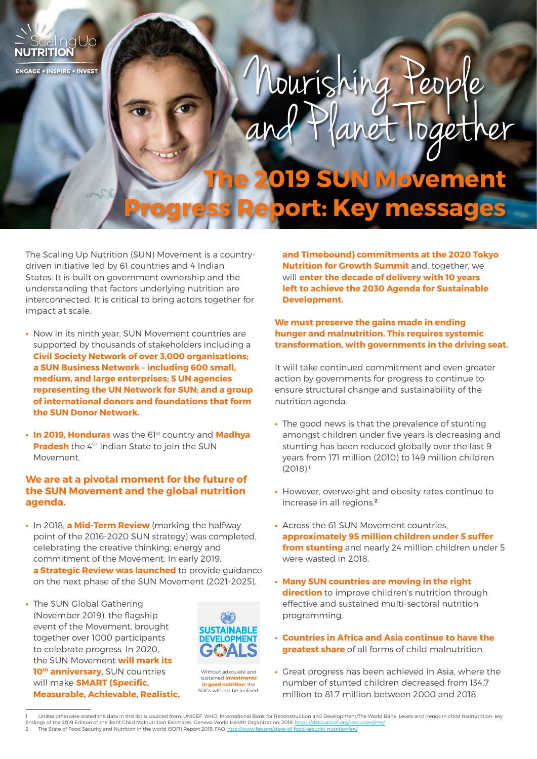# Nourishing Peop <u>paether</u>

# **Tovement Progress Report: Key messages**

The Scaling Up Nutrition (SUN) Movement is a countrydriven initiative led by 61 countries and 4 Indian States. It is built on government ownership and the understanding that factors underlying nutrition are interconnected. It is critical to bring actors together for impact at scale.

**ENGAGE . INSPIRE . INVEST** 

- **•** Now in its ninth year, SUN Movement countries are supported by thousands of stakeholders including a **Civil Society Network of over 3,000 organisations; a SUN Business Network – including 600 small, medium, and large enterprises; 5 UN agencies representing the UN Network for SUN; and a group of international donors and foundations that form the SUN Donor Network.**
- **•** In 2019, Honduras was the 61st country and Madhya **Pradesh** the 4<sup>th</sup> Indian State to join the SUN Movement.

## **We are at a pivotal moment for the future of the SUN Movement and the global nutrition agenda.**

- **•** In 2018, **a Mid-Term Review** (marking the halfway point of the 2016-2020 SUN strategy) was completed, celebrating the creative thinking, energy and commitment of the Movement. In early 2019, **a Strategic Review was launched** to provide guidance on the next phase of the SUN Movement (2021-2025).
- **•** The SUN Global Gathering (November 2019), the flagship event of the Movement, brought together over 1000 participants to celebrate progress. In 2020, the SUN Movement **will mark its 10<sup>th</sup> anniversary**, SUN countries will make **SMART (Specific, Measurable, Achievable, Realistic,**



Without adequate and sustained **investme in good nutrition**, the SDGs will not be realised.

**and Timebound) commitments at the 2020 Tokyo Nutrition for Growth Summit** and, together, we will **enter the decade of delivery with 10 years left to achieve the 2030 Agenda for Sustainable Development.** 

### **We must preserve the gains made in ending hunger and malnutrition. This requires systemic transformation, with governments in the driving seat.**

It will take continued commitment and even greater action by governments for progress to continue to ensure structural change and sustainability of the nutrition agenda.

- **•** The good news is that the prevalence of stunting amongst children under five years is decreasing and stunting has been reduced globally over the last 9 years from 171 million (2010) to 149 million children (2018).**<sup>1</sup>**
- **•** However, overweight and obesity rates continue to increase in all regions.**<sup>2</sup>**
- **•** Across the 61 SUN Movement countries, **approximately 95 million children under 5 suffer from stunting** and nearly 24 million children under 5 were wasted in 2018.
- **• Many SUN countries are moving in the right direction** to improve children's nutrition through effective and sustained multi-sectoral nutrition programming.
- **• Countries in Africa and Asia continue to have the greatest share** of all forms of child malnutrition.
- **•** Great progress has been achieved in Asia, where the number of stunted children decreased from 134.7 million to 81.7 million between 2000 and 2018.
- Unless otherwise stated the data in this list is sourced from: UNICEF, WHO, International Bank for Reconstruction and Development/The World Bank. Levels and trends in child malnutrition: key findings of the 2019 Edition of the Joint Child Malnutrition Estimates. Geneva: World Health Organization; 2019. <u>https://data.unicef.org/resources/jme/</u><br>2 The State of Food Security and Nutrition in the world (SOFI)